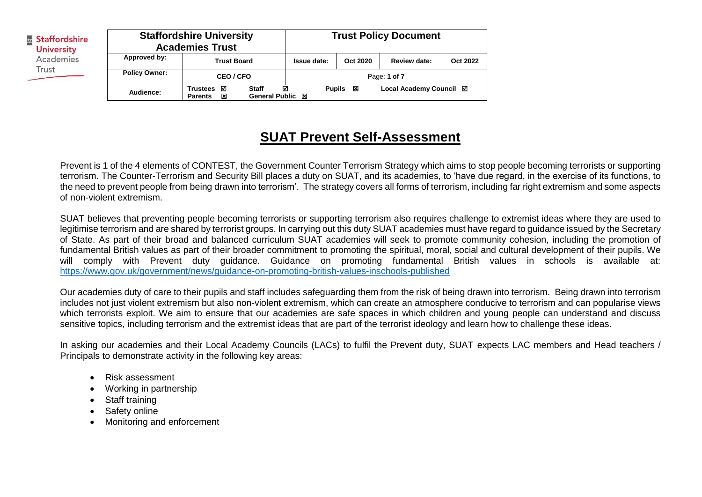| Staffordshire<br><b>University</b> | <b>Staffordshire University</b><br><b>Academies Trust</b> |                                             |                                  | <b>Trust Policy Document</b> |          |                         |          |
|------------------------------------|-----------------------------------------------------------|---------------------------------------------|----------------------------------|------------------------------|----------|-------------------------|----------|
| Academies                          | Approved by:                                              | <b>Trust Board</b>                          |                                  | <b>Issue date:</b>           | Oct 2020 | Review date:            | Oct 2022 |
| Trust                              | <b>Policy Owner:</b>                                      | CEO / CFO                                   |                                  | Page: 1 of 7                 |          |                         |          |
|                                    | Audience:                                                 | <b>Trustees</b><br>☑<br>×<br><b>Parents</b> | <b>Staff</b><br>General Public 図 | <b>Pupils</b><br>☑           | 囡        | Local Academy Council ⊠ |          |

## **SUAT Prevent Self-Assessment**

Prevent is 1 of the 4 elements of CONTEST, the Government Counter Terrorism Strategy which aims to stop people becoming terrorists or supporting terrorism. The Counter-Terrorism and Security Bill places a duty on SUAT, and its academies, to 'have due regard, in the exercise of its functions, to the need to prevent people from being drawn into terrorism'. The strategy covers all forms of terrorism, including far right extremism and some aspects of non-violent extremism.

SUAT believes that preventing people becoming terrorists or supporting terrorism also requires challenge to extremist ideas where they are used to legitimise terrorism and are shared by terrorist groups. In carrying out this duty SUAT academies must have regard to guidance issued by the Secretary of State. As part of their broad and balanced curriculum SUAT academies will seek to promote community cohesion, including the promotion of fundamental British values as part of their broader commitment to promoting the spiritual, moral, social and cultural development of their pupils. We will comply with Prevent duty guidance. Guidance on promoting fundamental British values in schools is available at: <https://www.gov.uk/government/news/guidance-on-promoting-british-values-inschools-published>

Our academies duty of care to their pupils and staff includes safeguarding them from the risk of being drawn into terrorism. Being drawn into terrorism includes not just violent extremism but also non-violent extremism, which can create an atmosphere conducive to terrorism and can popularise views which terrorists exploit. We aim to ensure that our academies are safe spaces in which children and young people can understand and discuss sensitive topics, including terrorism and the extremist ideas that are part of the terrorist ideology and learn how to challenge these ideas.

In asking our academies and their Local Academy Councils (LACs) to fulfil the Prevent duty, SUAT expects LAC members and Head teachers / Principals to demonstrate activity in the following key areas:

- Risk assessment
- Working in partnership
- Staff training
- Safety online
- Monitoring and enforcement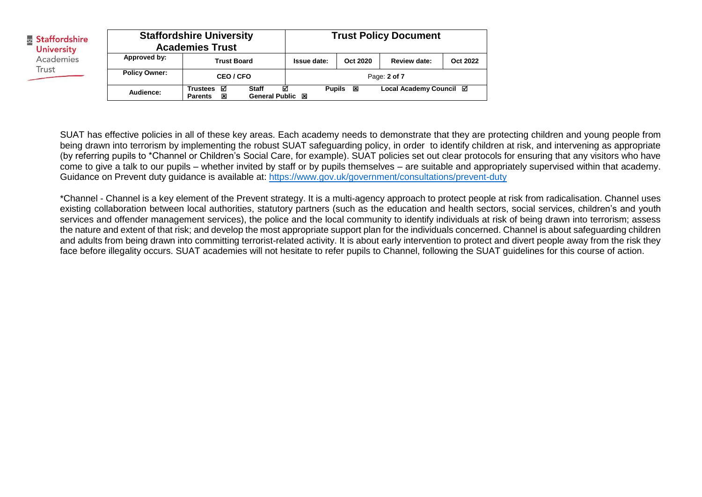| Staffordshire<br><b>University</b> | <b>Staffordshire University</b><br><b>Academies Trust</b> |                                             |                                  | <b>Trust Policy Document</b> |          |                         |          |
|------------------------------------|-----------------------------------------------------------|---------------------------------------------|----------------------------------|------------------------------|----------|-------------------------|----------|
| Academies                          | Approved by:                                              | <b>Trust Board</b>                          |                                  | Issue date:                  | Oct 2020 | Review date:            | Oct 2022 |
| Trust                              | <b>Policy Owner:</b>                                      | CEO / CFO                                   |                                  |                              |          | Page: 2 of 7            |          |
|                                    | Audience:                                                 | <b>Trustees</b><br>☑<br><b>Parents</b><br>区 | <b>Staff</b><br>General Public 図 | ☑<br><b>Pupils</b>           | ⊠        | Local Academy Council ⊠ |          |

SUAT has effective policies in all of these key areas. Each academy needs to demonstrate that they are protecting children and young people from being drawn into terrorism by implementing the robust SUAT safeguarding policy, in order to identify children at risk, and intervening as appropriate (by referring pupils to \*Channel or Children's Social Care, for example). SUAT policies set out clear protocols for ensuring that any visitors who have come to give a talk to our pupils – whether invited by staff or by pupils themselves – are suitable and appropriately supervised within that academy. Guidance on Prevent duty guidance is available at:<https://www.gov.uk/government/consultations/prevent-duty>

\*Channel - Channel is a key element of the Prevent strategy. It is a multi-agency approach to protect people at risk from radicalisation. Channel uses existing collaboration between local authorities, statutory partners (such as the education and health sectors, social services, children's and youth services and offender management services), the police and the local community to identify individuals at risk of being drawn into terrorism; assess the nature and extent of that risk; and develop the most appropriate support plan for the individuals concerned. Channel is about safeguarding children and adults from being drawn into committing terrorist-related activity. It is about early intervention to protect and divert people away from the risk they face before illegality occurs. SUAT academies will not hesitate to refer pupils to Channel, following the SUAT guidelines for this course of action.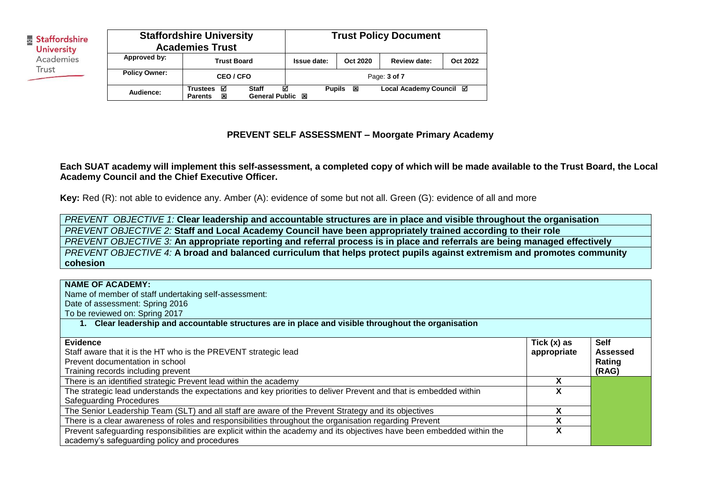| Staffordshire<br><b>University</b> | <b>Staffordshire University</b><br><b>Academies Trust</b> |                                             |                                       | <b>Trust Policy Document</b> |                    |                         |          |  |
|------------------------------------|-----------------------------------------------------------|---------------------------------------------|---------------------------------------|------------------------------|--------------------|-------------------------|----------|--|
| Academies                          | Approved by:                                              | <b>Trust Board</b>                          |                                       | Issue date:                  | Oct 2020           | Review date:            | Oct 2022 |  |
| Trust                              | <b>Policy Owner:</b>                                      | CEO / CFO                                   |                                       |                              |                    | Page: 3 of 7            |          |  |
|                                    | Audience:                                                 | <b>Trustees</b><br>☑<br>×<br><b>Parents</b> | <b>Staff</b><br><b>General Public</b> | ☑<br>図                       | ×<br><b>Pupils</b> | Local Academy Council ⊠ |          |  |

## **PREVENT SELF ASSESSMENT – Moorgate Primary Academy**

**Each SUAT academy will implement this self-assessment, a completed copy of which will be made available to the Trust Board, the Local Academy Council and the Chief Executive Officer.**

**Key:** Red (R): not able to evidence any. Amber (A): evidence of some but not all. Green (G): evidence of all and more

*PREVENT OBJECTIVE 1:* **Clear leadership and accountable structures are in place and visible throughout the organisation** *PREVENT OBJECTIVE 2:* **Staff and Local Academy Council have been appropriately trained according to their role** *PREVENT OBJECTIVE 3:* **An appropriate reporting and referral process is in place and referrals are being managed effectively** *PREVENT OBJECTIVE 4:* **A broad and balanced curriculum that helps protect pupils against extremism and promotes community cohesion**

| <b>NAME OF ACADEMY:</b><br>Name of member of staff undertaking self-assessment:<br>Date of assessment: Spring 2016<br>To be reviewed on: Spring 2017<br>Clear leadership and accountable structures are in place and visible throughout the organisation |               |                                |
|----------------------------------------------------------------------------------------------------------------------------------------------------------------------------------------------------------------------------------------------------------|---------------|--------------------------------|
| Evidence                                                                                                                                                                                                                                                 | Tick $(x)$ as | <b>Self</b><br><b>Assessed</b> |
| Staff aware that it is the HT who is the PREVENT strategic lead<br>Prevent documentation in school                                                                                                                                                       | appropriate   | Rating                         |
| Training records including prevent                                                                                                                                                                                                                       |               | (RAG)                          |
| There is an identified strategic Prevent lead within the academy                                                                                                                                                                                         |               |                                |
| The strategic lead understands the expectations and key priorities to deliver Prevent and that is embedded within                                                                                                                                        |               |                                |
| <b>Safeguarding Procedures</b>                                                                                                                                                                                                                           |               |                                |
| The Senior Leadership Team (SLT) and all staff are aware of the Prevent Strategy and its objectives                                                                                                                                                      | v             |                                |
| There is a clear awareness of roles and responsibilities throughout the organisation regarding Prevent                                                                                                                                                   |               |                                |
| Prevent safeguarding responsibilities are explicit within the academy and its objectives have been embedded within the<br>academy's safeguarding policy and procedures                                                                                   |               |                                |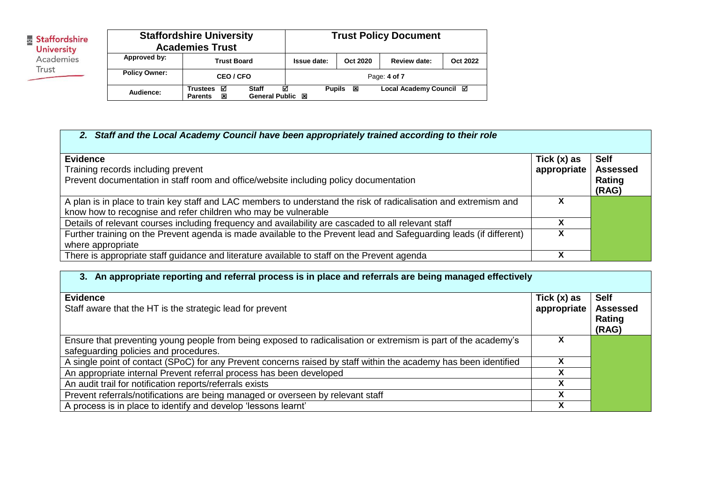| Staffordshire<br><b>University</b> | <b>Staffordshire University</b><br><b>Academies Trust</b> |                                             |                                  | <b>Trust Policy Document</b> |          |                         |          |  |
|------------------------------------|-----------------------------------------------------------|---------------------------------------------|----------------------------------|------------------------------|----------|-------------------------|----------|--|
| Academies<br>Trust                 | Approved by:                                              | <b>Trust Board</b>                          |                                  | Issue date:                  | Oct 2020 | Review date:            | Oct 2022 |  |
|                                    | <b>Policy Owner:</b>                                      | <b>CEO/CFO</b>                              |                                  | Page: 4 of 7                 |          |                         |          |  |
|                                    | Audience:                                                 | <b>Trustees</b><br>⊠<br>区<br><b>Parents</b> | <b>Staff</b><br>General Public 図 | ☑<br><b>Pupils</b>           | ×        | Local Academy Council ⊠ |          |  |

## *2. Staff and the Local Academy Council have been appropriately trained according to their role*

| <b>Evidence</b><br>Training records including prevent<br>Prevent documentation in staff room and office/website including policy documentation                                     | Tick (x) as<br>appropriate | <b>Self</b><br><b>Assessed</b><br>Rating<br>(RAG) |
|------------------------------------------------------------------------------------------------------------------------------------------------------------------------------------|----------------------------|---------------------------------------------------|
| A plan is in place to train key staff and LAC members to understand the risk of radicalisation and extremism and<br>know how to recognise and refer children who may be vulnerable |                            |                                                   |
| Details of relevant courses including frequency and availability are cascaded to all relevant staff                                                                                |                            |                                                   |
| Further training on the Prevent agenda is made available to the Prevent lead and Safeguarding leads (if different)<br>where appropriate                                            |                            |                                                   |
| There is appropriate staff guidance and literature available to staff on the Prevent agenda                                                                                        |                            |                                                   |

| 3. An appropriate reporting and referral process is in place and referrals are being managed effectively                                                |                              |                                                   |
|---------------------------------------------------------------------------------------------------------------------------------------------------------|------------------------------|---------------------------------------------------|
| <b>Evidence</b><br>Staff aware that the HT is the strategic lead for prevent                                                                            | Tick $(x)$ as<br>appropriate | <b>Self</b><br><b>Assessed</b><br>Rating<br>(RAG) |
| Ensure that preventing young people from being exposed to radicalisation or extremism is part of the academy's<br>safeguarding policies and procedures. |                              |                                                   |
| A single point of contact (SPoC) for any Prevent concerns raised by staff within the academy has been identified                                        |                              |                                                   |
| An appropriate internal Prevent referral process has been developed                                                                                     |                              |                                                   |
| An audit trail for notification reports/referrals exists                                                                                                | χ                            |                                                   |
| Prevent referrals/notifications are being managed or overseen by relevant staff                                                                         | χ                            |                                                   |
| A process is in place to identify and develop 'lessons learnt'                                                                                          |                              |                                                   |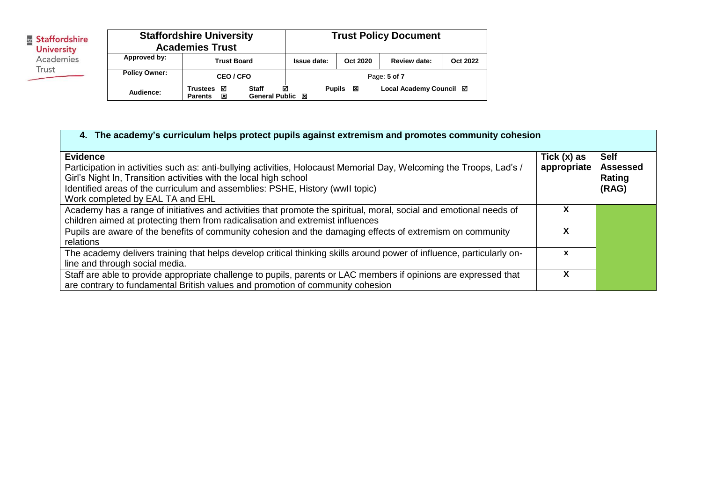| Staffordshire<br><b>University</b> | <b>Staffordshire University</b><br><b>Academies Trust</b> |                                             |                                       | <b>Trust Policy Document</b> |          |                         |                 |  |
|------------------------------------|-----------------------------------------------------------|---------------------------------------------|---------------------------------------|------------------------------|----------|-------------------------|-----------------|--|
| Academies<br>Trust                 | Approved by:                                              | <b>Trust Board</b>                          |                                       | Issue date:                  | Oct 2020 | <b>Review date:</b>     | <b>Oct 2022</b> |  |
|                                    | <b>Policy Owner:</b>                                      | CEO / CFO                                   |                                       | Page: 5 of 7                 |          |                         |                 |  |
|                                    | Audience:                                                 | <b>Trustees</b><br>☑<br>区<br><b>Parents</b> | <b>Staff</b><br><b>General Public</b> | ☑<br><b>Pupils</b><br>⊠      | ×        | Local Academy Council ⊠ |                 |  |

| 4. The academy's curriculum helps protect pupils against extremism and promotes community cohesion                                                                                                                                                                                                                                |                              |                                                   |
|-----------------------------------------------------------------------------------------------------------------------------------------------------------------------------------------------------------------------------------------------------------------------------------------------------------------------------------|------------------------------|---------------------------------------------------|
| <b>Evidence</b><br>Participation in activities such as: anti-bullying activities, Holocaust Memorial Day, Welcoming the Troops, Lad's /<br>Girl's Night In, Transition activities with the local high school<br>Identified areas of the curriculum and assemblies: PSHE, History (wwll topic)<br>Work completed by EAL TA and EHL | Tick $(x)$ as<br>appropriate | <b>Self</b><br><b>Assessed</b><br>Rating<br>(RAG) |
| Academy has a range of initiatives and activities that promote the spiritual, moral, social and emotional needs of<br>children aimed at protecting them from radicalisation and extremist influences                                                                                                                              |                              |                                                   |
| Pupils are aware of the benefits of community cohesion and the damaging effects of extremism on community<br>relations                                                                                                                                                                                                            |                              |                                                   |
| The academy delivers training that helps develop critical thinking skills around power of influence, particularly on-<br>line and through social media.                                                                                                                                                                           | x                            |                                                   |
| Staff are able to provide appropriate challenge to pupils, parents or LAC members if opinions are expressed that<br>are contrary to fundamental British values and promotion of community cohesion                                                                                                                                |                              |                                                   |